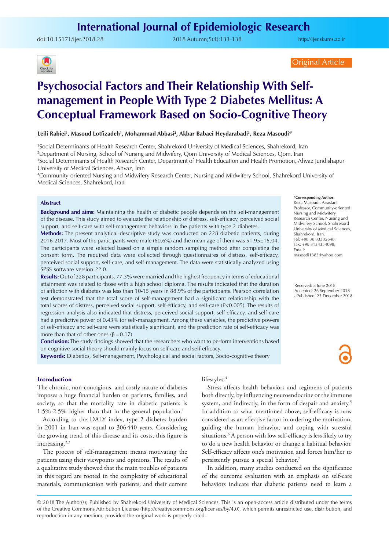doi:[10.15171/ijer.2018.28](https://doi.org/10.15171/ijer.2018.28) 2018 Autumn;5(4):133-138

<http://ijer.skums.ac.ir>



Original Article

# **Psychosocial Factors and Their Relationship With Selfmanagement in People With Type 2 Diabetes Mellitus: A Conceptual Framework Based on Socio-Cognitive Theory**

**Leili Rabiei1 , Masoud Lotfizadeh1 , Mohammad Abbasi2 , Akbar Babaei Heydarabadi3 , Reza Masoudi4\***

 Social Determinants of Health Research Center, Shahrekord University of Medical Sciences, Shahrekord, Iran Department of Nursing, School of Nursing and Midwifery, Qom University of Medical Sciences, Qom, Iran Social Determinants of Health Research Center, Department of Health Education and Health Promotion, Ahvaz Jundishapur University of Medical Sciences, Ahvaz, Iran

4 Community-oriented Nursing and Midwifery Research Center, Nursing and Midwifery School, Shahrekord University of Medical Sciences, Shahrekord, Iran

## **Abstract**

**Background and aims:** Maintaining the health of diabetic people depends on the self-management of the disease. This study aimed to evaluate the relationship of distress, self-efficacy, perceived social support, and self-care with self-management behaviors in the patients with type 2 diabetes.

\***Corresponding Author:**

Reza Masoudi, Assistant Professor, Community-oriented Nursing and Midwifery Research Center, Nursing and Midwifery School, Shahrekord University of Medical Sciences, Shahrekord, Iran. Tel: +98 38 33335648; Fax: +98 3134354098, Email: masoodi1383@yahoo.com

Received: 8 June 2018 Accepted: 26 September 2018 ePublished: 25 December 2018

**Methods:** The present analytical-descriptive study was conducted on 228 diabetic patients, during 2016-2017. Most of the participants were male (60.6%) and the mean age of them was 51.95±15.04. The participants were selected based on a simple random sampling method after completing the consent form. The required data were collected through questionnaires of distress, self-efficacy, perceived social support, self-care, and self-management. The data were statistically analyzed using SPSS software version 22.0.

**Results:** Out of 228 participants, 77.3% were married and the highest frequency in terms of educational attainment was related to those with a high school diploma. The results indicated that the duration of affliction with diabetes was less than 10-15 years in 88.9% of the participants. Pearson correlation test demonstrated that the total score of self-management had a significant relationship with the total scores of distress, perceived social support, self-efficacy, and self-care (P<0.005). The results of regression analysis also indicated that distress, perceived social support, self-efficacy, and self-care had a predictive power of 0.43% for self-management. Among these variables, the predictive powers of self-efficacy and self-care were statistically significant, and the prediction rate of self-efficacy was more than that of other ones  $(\beta = 0.17)$ .

**Conclusion:** The study findings showed that the researchers who want to perform interventions based on cognitive-social theory should mainly focus on self-care and self-efficacy.

**Keywords:** Diabetics, Self-management, Psychological and social factors, Socio-cognitive theory

# **Introduction**

The chronic, non-contagious, and costly nature of diabetes imposes a huge financial burden on patients, families, and society, so that the mortality rate in diabetic patients is 1.5%-2.5% higher than that in the general population.1

According to the DALY index, type 2 diabetes burden in 2001 in Iran was equal to 306440 years. Considering the growing trend of this disease and its costs, this figure is increasing.<sup>2,3</sup>

The process of self-management means motivating the patients using their viewpoints and opinions. The results of a qualitative study showed that the main troubles of patients in this regard are rooted in the complexity of educational materials, communication with patients, and their current

lifestyles.<sup>4</sup>

Stress affects health behaviors and regimens of patients both directly, by influencing neuroendocrine or the immune system, and indirectly, in the form of despair and anxiety.<sup>5</sup> In addition to what mentioned above, self-efficacy is now considered as an effective factor in ordering the motivation, guiding the human behavior, and coping with stressful situations.6 A person with low self-efficacy is less likely to try to do a new health behavior or change a habitual behavior. Self-efficacy affects one's motivation and forces him/her to persistently pursue a special behavior.<sup>7</sup>

In addition, many studies conducted on the significance of the outcome evaluation with an emphasis on self-care behaviors indicate that diabetic patients need to learn a

<sup>© 2018</sup> The Author(s); Published by Shahrekord University of Medical Sciences. This is an open-access article distributed under the terms of the Creative Commons Attribution License (http://creativecommons.org/licenses/by/4.0), which permits unrestricted use, distribution, and reproduction in any medium, provided the original work is properly cited.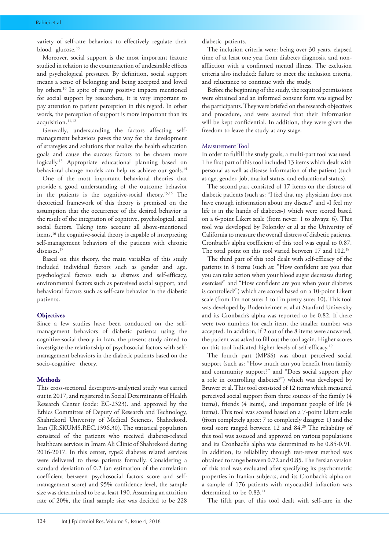variety of self-care behaviors to effectively regulate their blood glucose.<sup>8,9</sup>

Moreover, social support is the most important feature studied in relation to the counteraction of undesirable effects and psychological pressures. By definition, social support means a sense of belonging and being accepted and loved by others.10 In spite of many positive impacts mentioned for social support by researchers, it is very important to pay attention to patient perception in this regard. In other words, the perception of support is more important than its acquisition.<sup>11,12</sup>

Generally, understanding the factors affecting selfmanagement behaviors paves the way for the development of strategies and solutions that realize the health education goals and cause the success factors to be chosen more logically.13 Appropriate educational planning based on behavioral change models can help us achieve our goals.<sup>14</sup>

One of the most important behavioral theories that provide a good understanding of the outcome behavior in the patients is the cognitive-social theory.15,16 The theoretical framework of this theory is premised on the assumption that the occurrence of the desired behavior is the result of the integration of cognitive, psychological, and social factors. Taking into account all above-mentioned items,<sup>16</sup> the cognitive-social theory is capable of interpreting self-management behaviors of the patients with chronic diseases.<sup>17</sup>

Based on this theory, the main variables of this study included individual factors such as gender and age, psychological factors such as distress and self-efficacy, environmental factors such as perceived social support, and behavioral factors such as self-care behavior in the diabetic patients.

# **Objectives**

Since a few studies have been conducted on the selfmanagement behaviors of diabetic patients using the cognitive-social theory in Iran, the present study aimed to investigate the relationship of psychosocial factors with selfmanagement behaviors in the diabetic patients based on the socio-cognitive theory.

#### **Methods**

This cross-sectional descriptive-analytical study was carried out in 2017, and registered in Social Determinants of Health Research Center (code: EC-2323). and approved by the Ethics Committee of Deputy of Research and Technology, Shahrekord University of Medical Sciences, Shahrekord, Iran (IR.SKUMS.REC.1396.30). The statistical population consisted of the patients who received diabetes-related healthcare services in Imam Ali Clinic of Shahrekord during 2016-2017. In this center, type2 diabetes related services were delivered to these patients formally. Considering a standard deviation of 0.2 (an estimation of the correlation coefficient between psychosocial factors score and selfmanagement score) and 95% confidence level, the sample size was determined to be at least 190. Assuming an attrition rate of 20%, the final sample size was decided to be 228

diabetic patients.

The inclusion criteria were: being over 30 years, elapsed time of at least one year from diabetes diagnosis, and nonaffliction with a confirmed mental illness. The exclusion criteria also included: failure to meet the inclusion criteria, and reluctance to continue with the study.

Before the beginning of the study, the required permissions were obtained and an informed consent form was signed by the participants. They were briefed on the research objectives and procedure, and were assured that their information will be kept confidential. In addition, they were given the freedom to leave the study at any stage.

# Measurement Tool

In order to fulfill the study goals, a multi-part tool was used. The first part of this tool included 13 items which dealt with personal as well as disease information of the patient (such as age, gender, job, marital status, and educational status).

The second part consisted of 17 items on the distress of diabetic patients (such as: "I feel that my physician does not have enough information about my disease" and »I feel my life is in the hands of diabetes») which were scored based on a 6-point Likert scale (from never: 1 to always: 6). This tool was developed by Polonsky et al at the University of California to measure the overall distress of diabetic patients. Cronbach's alpha coefficient of this tool was equal to 0.87. The total point on this tool varied between 17 and 102.<sup>18</sup>

The third part of this tool dealt with self-efficacy of the patients in 8 items (such as: "How confident are you that you can take action when your blood sugar decreases during exercise?" and "How confident are you when your diabetes is controlled?") which are scored based on a 10-point Likert scale (from I'm not sure: 1 to I'm pretty sure: 10). This tool was developed by Bodenheimer et al at Stanford University and its Cronbach's alpha was reported to be 0.82. If there were two numbers for each item, the smaller number was accepted. In addition, if 2 out of the 8 items were answered, the patient was asked to fill out the tool again. Higher scores on this tool indicated higher levels of self-efficacy.19

The fourth part (MPSS) was about perceived social support (such as: "How much can you benefit from family and community support?" and "Does social support play a role in controlling diabetes?") which was developed by Bruwer et al. This tool consisted of 12 items which measured perceived social support from three sources of the family (4 items), friends (4 items), and important people of life (4 items). This tool was scored based on a 7-point Likert scale (from completely agree: 7 to completely disagree: 1) and the total score ranged between 12 and 84.20 The reliability of this tool was assessed and approved on various populations and its Cronbach's alpha was determined to be 0.85-0.91. In addition, its reliability through test-retest method was obtained to range between 0.72 and 0.85. The Persian version of this tool was evaluated after specifying its psychometric properties in Iranian subjects, and its Cronbach's alpha on a sample of 176 patients with myocardial infarction was determined to be  $0.83.^{21}$ 

The fifth part of this tool dealt with self-care in the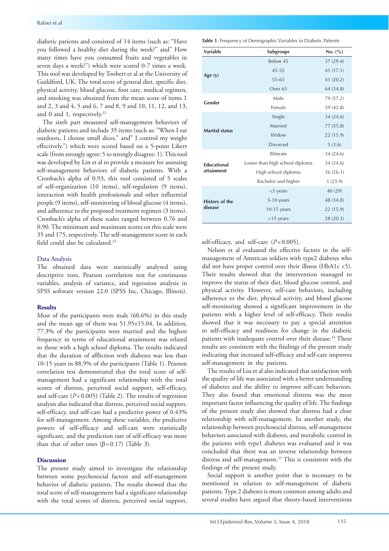diabetic patients and consisted of 14 items (such as: "Have you followed a healthy diet during the week?" and" How many times have you consumed fruits and vegetables in seven days a week?") which were scored 0-7 times a week. This tool was developed by Toobert et al at the University of Guildford, UK. The total score of general diet, specific diet, physical activity, blood glucose, foot care, medical regimen, and smoking was obtained from the mean score of items 1 and 2, 3 and 4, 5 and 6, 7 and 8, 9 and 10, 11, 12, and 13, and 0 and 1, respectively.22

The sixth part measured self-management behaviors of diabetic patients and include 35 items (such as: "When I eat outdoors, I choose small dices." and" I control my weight effectively.") which were scored based on a 5-point Likert scale (from strongly agree: 5 to strongly disagree: 1). This tool was developed by Lin et al to provide a measure for assessing self-management behaviors of diabetic patients. With a Cronbach's alpha of 0.93, this tool consisted of 5 scales of self-organization (10 items), self-regulation (9 items), interaction with health professionals and other influential people (9 items), self-monitoring of blood glucose (4 items), and adherence to the proposed treatment regimen (3 items). Cronbach's alpha of these scales ranged between 0.76 and 0.90. The minimum and maximum scores on this scale were 35 and 175, respectively. The self-management score in each field could also be calculated.23

# Data Analysis

The obtained data were statistically analyzed using descriptive tests, Pearson correlation test for continuous variables, analysis of variance, and regression analysis in SPSS software version 22.0 (SPSS Inc, Chicago, Illinois).

### **Results**

Most of the participants were male (60.6%) in this study and the mean age of them was 51.95±15.04. In addition, 77.3% of the participants were married and the highest frequency in terms of educational attainment was related to those with a high school diploma. The results indicated that the duration of affliction with diabetes was less than 10-15 years in 88.9% of the participants (Table 1). Pearson correlation test demonstrated that the total score of selfmanagement had a significant relationship with the total scores of distress, perceived social support, self-efficacy, and self-care (*P*< 0.005) (Table 2). The results of regression analysis also indicated that distress, perceived social support, self-efficacy, and self-care had a predictive power of 0.43% for self-management. Among these variables, the predictive powers of self-efficacy and self-care were statistically significant, and the prediction rate of self-efficacy was more than that of other ones  $(β = 0.17)$  (Table 3).

#### **Discussion**

The present study aimed to investigate the relationship between some psychosocial factors and self-management behavior of diabetic patients. The results showed that the total score of self-management had a significant relationship with the total scores of distress, perceived social support,

**Table 1.** Frequency of Demographic Variables in Diabetic Patients

| <b>Variable</b>                  | <b>Subgroups</b>               | No. $(\% )$ |  |  |
|----------------------------------|--------------------------------|-------------|--|--|
| Age $(y)$                        | Below 45                       | 57 (29.4)   |  |  |
|                                  | 45-55                          | 41 (17.1)   |  |  |
|                                  | 55-65                          | 41 (20.2)   |  |  |
|                                  | Over <sub>65</sub>             | 64 (34.8)   |  |  |
| Gender                           | Male                           | 79 (57.2)   |  |  |
|                                  | Female                         | 59 (42.8)   |  |  |
| <b>Marital status</b>            | Single                         | 34 (24.6)   |  |  |
|                                  | Married                        | 77 (55.8)   |  |  |
|                                  | Widow                          | 22 (15.9)   |  |  |
|                                  | <b>Divorced</b>                | 5(3.6)      |  |  |
| <b>Educational</b><br>attainment | Illiterate                     | 34 (24.6)   |  |  |
|                                  | Lower than high school diploma | 34 (24.6)   |  |  |
|                                  | High school diploma            | 36(26.1)    |  |  |
|                                  | Bachelor and higher            | 3(23.9)     |  |  |
| <b>History of the</b><br>disease | $<$ 5 years                    | 40 (29)     |  |  |
|                                  | $5-10$ years                   | 48 (34.8)   |  |  |
|                                  | $10-15$ years                  | 22 (15.9)   |  |  |
|                                  | $>15$ years                    | 28 (20.3)   |  |  |

self-efficacy, and self-care (*P*<0.005).

Nelson et al evaluated the effective factors in the selfmanagement of American soldiers with type2 diabetes who did not have proper control over their illness (HbA1c <5). Their results showed that the intervention managed to improve the status of their diet, blood glucose control, and physical activity. However, self-care behaviors, including adherence to the diet, physical activity, and blood glucose self-monitoring showed a significant improvement in the patients with a higher level of self-efficacy. Their results showed that it was necessary to pay a special attention to self-efficacy and readiness for change in the diabetic patients with inadequate control over their disease.<sup>24</sup> These results are consistent with the findings of the present study indicating that increased self-efficacy and self-care improves self-management in the patients.

The results of Liu et al also indicated that satisfaction with the quality of life was associated with a better understanding of diabetes and the ability to improve self-care behaviors. They also found that emotional distress was the most important factor influencing the quality of life. The findings of the present study also showed that distress had a close relationship with self-management. In another study, the relationship between psychosocial distress, self-management behaviors associated with diabetes, and metabolic control in the patients with type1 diabetes was evaluated and it was concluded that there was an inverse relationship between distress and self-management.<sup>25</sup> This is consistent with the findings of the present study.

Social support is another point that is necessary to be mentioned in relation to self-management of diabetic patients. Type 2 diabetes is more common among adults and several studies have argued that theory-based interventions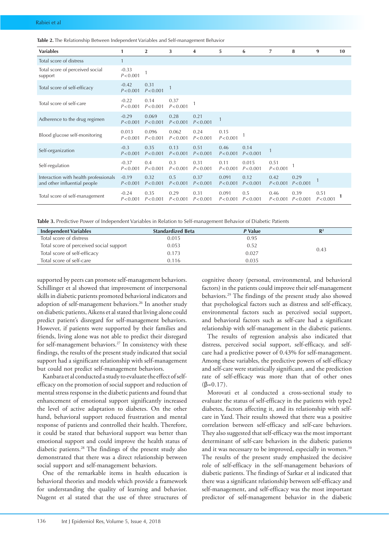| <b>Variables</b>                                                      | 1                    | $\overline{2}$     | 3                  | 4                 | 5                  | 6                  | 7                 | 8                 | 9                 | 10 |
|-----------------------------------------------------------------------|----------------------|--------------------|--------------------|-------------------|--------------------|--------------------|-------------------|-------------------|-------------------|----|
| Total score of distress                                               | $\mathbf{1}$         |                    |                    |                   |                    |                    |                   |                   |                   |    |
| Total score of perceived social<br>support                            | $-0.33$<br>P < 0.001 |                    |                    |                   |                    |                    |                   |                   |                   |    |
| Total score of self-efficacy                                          | $-0.42$<br>P < 0.001 | 0.31<br>P < 0.001  | $\mathbf{1}$       |                   |                    |                    |                   |                   |                   |    |
| Total score of self-care                                              | $-0.22$<br>P < 0.001 | 0.14<br>P < 0.001  | 0.37<br>P < 0.001  |                   |                    |                    |                   |                   |                   |    |
| Adherence to the drug regimen                                         | $-0.29$<br>P < 0.001 | 0.069<br>P < 0.001 | 0.28<br>P < 0.001  | 0.21<br>P < 0.001 |                    |                    |                   |                   |                   |    |
| Blood glucose self-monitoring                                         | 0.013<br>P < 0.001   | 0.096<br>P < 0.001 | 0.062<br>P < 0.001 | 0.24<br>P < 0.001 | 0.15<br>P < 0.001  |                    |                   |                   |                   |    |
| Self-organization                                                     | $-0.3$<br>P < 0.001  | 0.35<br>P < 0.001  | 0.13<br>P < 0.001  | 0.51<br>P < 0.001 | 0.46<br>P < 0.001  | 0.14<br>P < 0.001  | 1                 |                   |                   |    |
| Self-regulation                                                       | $-0.37$<br>P < 0.001 | 0.4<br>P < 0.001   | 0.3<br>P < 0.001   | 0.31<br>P < 0.001 | 0.11<br>P < 0.001  | 0.015<br>P < 0.001 | 0.51<br>P < 0.001 |                   |                   |    |
| Interaction with health professionals<br>and other influential people | $-0.19$<br>P < 0.001 | 0.32<br>P < 0.001  | 0.5<br>P < 0.001   | 0.37<br>P < 0.001 | 0.091<br>P < 0.001 | 0.12<br>P < 0.001  | 0.42<br>P < 0.001 | 0.29<br>P < 0.001 |                   |    |
| Total score of self-management                                        | $-0.24$<br>P < 0.001 | 0.35<br>P < 0.001  | 0.29<br>P < 0.001  | 0.31<br>P < 0.001 | 0.091<br>P < 0.001 | 0.5<br>P < 0.001   | 0.46<br>P < 0.001 | 0.39<br>P < 0.001 | 0.51<br>P < 0.001 |    |

**Table 2.** The Relationship Between Independent Variables and Self-management Behavior

**Table 3.** Predictive Power of Independent Variables in Relation to Self-management Behavior of Diabetic Patients

| <b>Independent Variables</b>            | <b>Standardized Beta</b> | P Value | $\mathbb{R}^2$ |
|-----------------------------------------|--------------------------|---------|----------------|
| Total score of distress                 | 0.015                    | 0.95    |                |
| Total score of perceived social support | 0.053                    | 0.52    | 0.43           |
| Total score of self-efficacy            | 0.173                    | 0.027   |                |
| Total score of self-care                | 0.116                    | 0.035   |                |

supported by peers can promote self-management behaviors. Schillinger et al showed that improvement of interpersonal skills in diabetic patients promoted behavioral indicators and adoption of self-management behaviors.<sup>26</sup> In another study on diabetic patients, Aikens et al stated that living alone could predict patient's disregard for self-management behaviors. However, if patients were supported by their families and friends, living alone was not able to predict their disregard for self-management behaviors.27 In consistency with these findings, the results of the present study indicated that social support had a significant relationship with self-management but could not predict self-management behaviors.

Kanbara et al conducted a study to evaluate the effect of selfefficacy on the promotion of social support and reduction of mental stress response in the diabetic patients and found that enhancement of emotional support significantly increased the level of active adaptation to diabetes. On the other hand, behavioral support reduced frustration and mental response of patients and controlled their health. Therefore, it could be stated that behavioral support was better than emotional support and could improve the health status of diabetic patients.28 The findings of the present study also demonstrated that there was a direct relationship between social support and self-management behaviors.

One of the remarkable items in health education is behavioral theories and models which provide a framework for understanding the quality of learning and behavior. Nugent et al stated that the use of three structures of cognitive theory (personal, environmental, and behavioral factors) in the patients could improve their self-management behaviors.29 The findings of the present study also showed that psychological factors such as distress and self-efficacy, environmental factors such as perceived social support, and behavioral factors such as self-care had a significant relationship with self-management in the diabetic patients.

The results of regression analysis also indicated that distress, perceived social support, self-efficacy, and selfcare had a predictive power of 0.43% for self-management. Among these variables, the predictive powers of self-efficacy and self-care were statistically significant, and the prediction rate of self-efficacy was more than that of other ones  $(\beta = 0.17)$ .

Morovati et al conducted a cross-sectional study to evaluate the status of self-efficacy in the patients with type2 diabetes, factors affecting it, and its relationship with selfcare in Yazd. Their results showed that there was a positive correlation between self-efficacy and self-care behaviors. They also suggested that self-efficacy was the most important determinant of self-care behaviors in the diabetic patients and it was necessary to be improved, especially in women.<sup>30</sup> The results of the present study emphasized the decisive role of self-efficacy in the self-management behaviors of diabetic patients. The findings of Sarkar et al indicated that there was a significant relationship between self-efficacy and self-management, and self-efficacy was the most important predictor of self-management behavior in the diabetic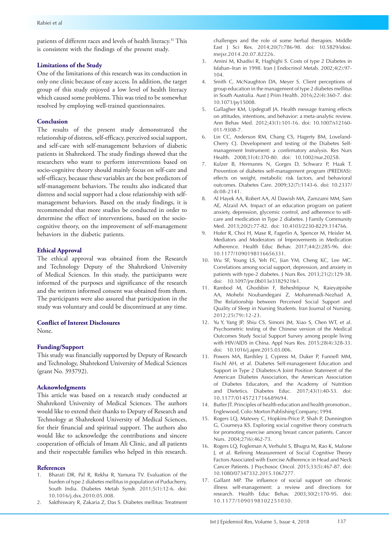patients of different races and levels of health literacy.31 This is consistent with the findings of the present study.

# **Limitations of the Study**

One of the limitations of this research was its conduction in only one clinic because of easy access. In addition, the target group of this study enjoyed a low level of health literacy which caused some problems. This was tried to be somewhat resolved by employing well-trained questionnaires.

# **Conclusion**

The results of the present study demonstrated the relationship of distress, self-efficacy, perceived social support, and self-care with self-management behaviors of diabetic patients in Shahrekord. The study findings showed that the researchers who want to perform interventions based on socio-cognitive theory should mainly focus on self-care and self-efficacy, because these variables are the best predictors of self-management behaviors. The results also indicated that distress and social support had a close relationship with selfmanagement behaviors. Based on the study findings, it is recommended that more studies be conducted in order to determine the effect of interventions, based on the sociocognitive theory, on the improvement of self-management behaviors in the diabetic patients.

# **Ethical Approval**

The ethical approval was obtained from the Research and Technology Deputy of the Shahrekord University of Medical Sciences. In this study, the participants were informed of the purposes and significance of the research and the written informed consent was obtained from them. The participants were also assured that participation in the study was voluntary and could be discontinued at any time.

# **Conflict of Interest Disclosures**

None.

# **Funding/Support**

This study was financially supported by Deputy of Research and Technology, Shahrekord University of Medical Sciences (grant No. 393792).

# **Acknowledgments**

This article was based on a research study conducted at Shahrekord University of Medical Sciences. The authors would like to extend their thanks to Deputy of Research and Technology at Shahrekord University of Medical Sciences, for their financial and spiritual support. The authors also would like to acknowledge the contributions and sincere cooperation of officials of Imam Ali Clinic, and all patients and their respectable families who helped in this research.

# **References**

- 1. Bharati DR, Pal R, Rekha R, Yamuna TV. Evaluation of the burden of type 2 diabetes mellitus in population of Puducherry, South India. Diabetes Metab Syndr. 2011;5(1):12-6. doi: 10.1016/j.dsx.2010.05.008.
- 2. Sakthiswary R, Zakaria Z, Das S. Diabetes mellitus: Treatment

challenges and the role of some herbal therapies. Middle East J Sci Res. 2014;20(7):786-98. doi: 10.5829/idosi. mejsr.2014.20.07.82226.

- 3. Amini M, Khadivi R, Haghighi S. Costs of type 2 Diabetes in Isfahan–Iran in 1998. Iran J Endocrinol Metab. 2002;4(2):97- 104.
- 4. Smith C, McNaughton DA, Meyer S. Client perceptions of group education in the management of type 2 diabetes mellitus in South Australia. Aust J Prim Health. 2016;22(4):360-7. doi: 10.1071/py15008.
- 5. Gallagher KM, Updegraff JA. Health message framing effects on attitudes, intentions, and behavior: a meta-analytic review. Ann Behav Med. 2012;43(1):101-16. doi: 10.1007/s12160- 011-9308-7.
- 6. Lin CC, Anderson RM, Chang CS, Hagerty BM, Loveland-Cherry CJ. Development and testing of the Diabetes Selfmanagement Instrument: a confirmatory analysis. Res Nurs Health. 2008;31(4):370-80. doi: 10.1002/nur.20258.
- 7. Kulzer B, Hermanns N, Gorges D, Schwarz P, Haak T. Prevention of diabetes self-management program (PREDIAS): effects on weight, metabolic risk factors, and behavioral outcomes. Diabetes Care. 2009;32(7):1143-6. doi: 10.2337/ dc08-2141.
- 8. Al Hayek AA, Robert AA, Al Dawish MA, Zamzami MM, Sam AE, Alzaid AA. Impact of an education program on patient anxiety, depression, glycemic control, and adherence to selfcare and medication in Type 2 diabetes. J Family Community Med. 2013;20(2):77-82. doi: 10.4103/2230-8229.114766.
- 9. Hofer R, Choi H, Mase R, Fagerlin A, Spencer M, Heisler M. Mediators and Moderators of Improvements in Medication Adherence. Health Educ Behav. 2017;44(2):285-96. doi: 10.1177/1090198116656331.
- 10. Wu SF, Young LS, Yeh FC, Jian YM, Cheng KC, Lee MC. Correlations among social support, depression, and anxiety in patients with type-2 diabetes. J Nurs Res. 2013;21(2):129-38. doi: 10.1097/jnr.0b013e3182921fe1.
- 11. Rambod M, Ghodsbin F, Beheshtipour N, Raieyatpishe AA, Mohebi Noubandegani Z, Mohammadi-Nezhad A. The Relationship between Perceived Social Support and Quality of Sleep in Nursing Students. Iran Journal of Nursing. 2012;25(79):12-23.
- 12. Yu Y, Yang JP, Shiu CS, Simoni JM, Xiao S, Chen WT, et al. Psychometric testing of the Chinese version of the Medical Outcomes Study Social Support Survey among people living with HIV/AIDS in China. Appl Nurs Res. 2015;28(4):328-33. doi: 10.1016/j.apnr.2015.03.006.
- 13. Powers MA, Bardsley J, Cypress M, Duker P, Funnell MM, Fischl AH, et al. Diabetes Self-management Education and Support in Type 2 Diabetes:A Joint Position Statement of the American Diabetes Association, the American Association of Diabetes Educators, and the Academy of Nutrition and Dietetics. Diabetes Educ. 2017;43(1):40-53. doi: 10.1177/0145721716689694.
- 14. Butler JT. Principles of health education and health promotion.. Englewood, Colo: Morton Publishing Company; 1994.
- 15. Rogers LQ, Matevey C, Hopkins-Price P, Shah P, Dunnington G, Courneya KS. Exploring social cognitive theory constructs for promoting exercise among breast cancer patients. Cancer Nurs. 2004;27(6):462-73.
- 16. Rogers LQ, Fogleman A, Verhulst S, Bhugra M, Rao K, Malone J, et al. Refining Measurement of Social Cognitive Theory Factors Associated with Exercise Adherence in Head and Neck Cancer Patients. J Psychosoc Oncol. 2015;33(5):467-87. doi: 10.1080/07347332.2015.1067277.
- 17. Gallant MP. The influence of social support on chronic illness self-management: a review and directions for research. Health Educ Behav. 2003;30(2):170-95. doi: 10.1177/1090198102251030.